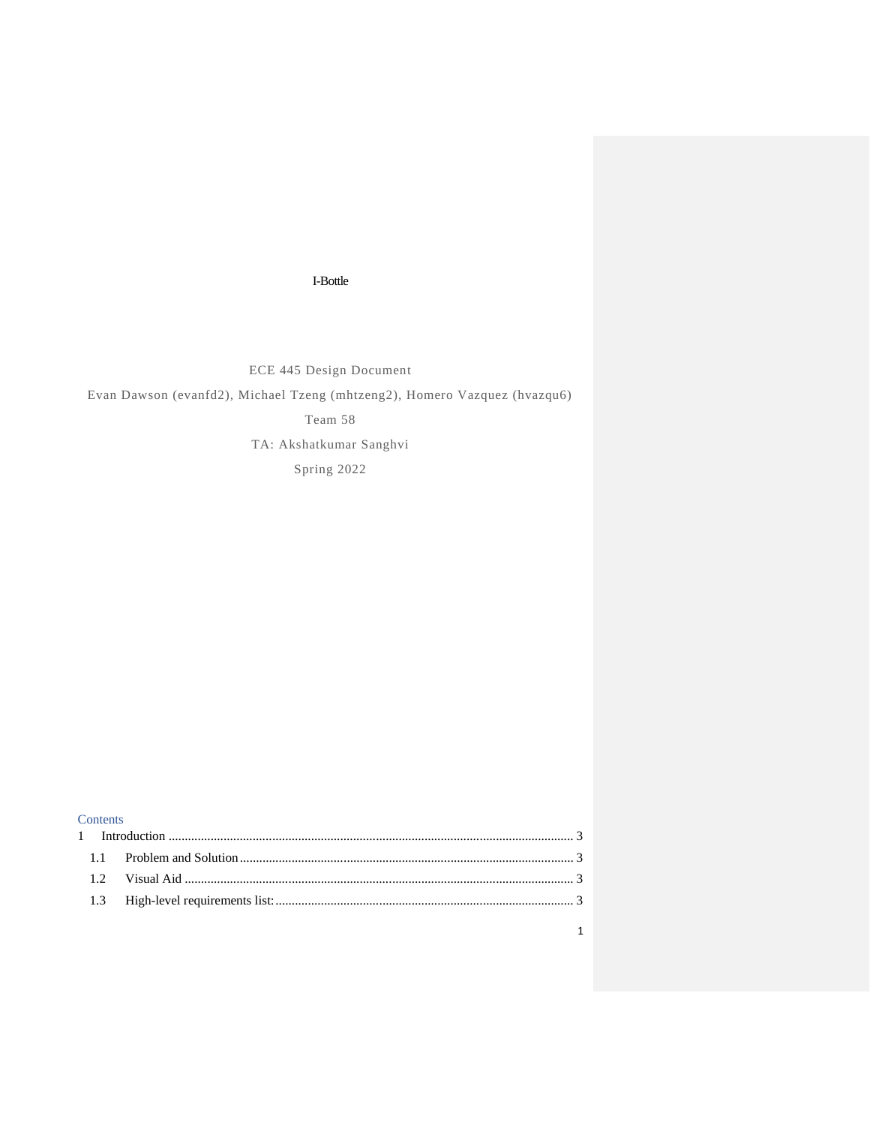## I-Bottle

ECE 445 Design Document

Evan Dawson (evanfd2), Michael Tzeng (mhtzeng2), Homero Vazquez (hvazqu6)

Team 58

TA: Akshatkumar Sanghvi

Spring 2022

| <b>Contents</b> |  |
|-----------------|--|
|                 |  |
|                 |  |
|                 |  |
|                 |  |
|                 |  |

1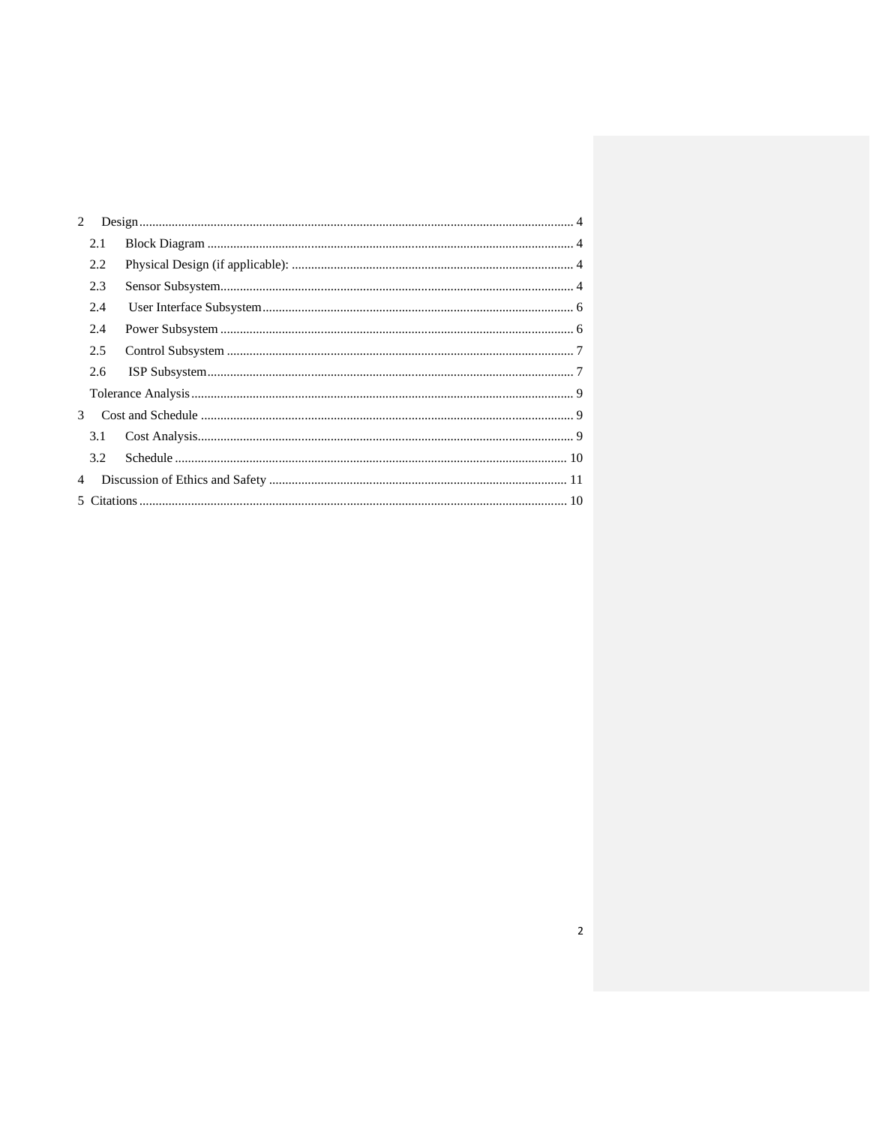| 2             |     |  |
|---------------|-----|--|
|               | 2.1 |  |
|               | 2.2 |  |
|               | 2.3 |  |
|               | 2.4 |  |
|               | 2.4 |  |
|               | 2.5 |  |
|               | 2.6 |  |
|               |     |  |
| $\mathcal{E}$ |     |  |
|               | 3.1 |  |
|               | 3.2 |  |
| 4             |     |  |
|               |     |  |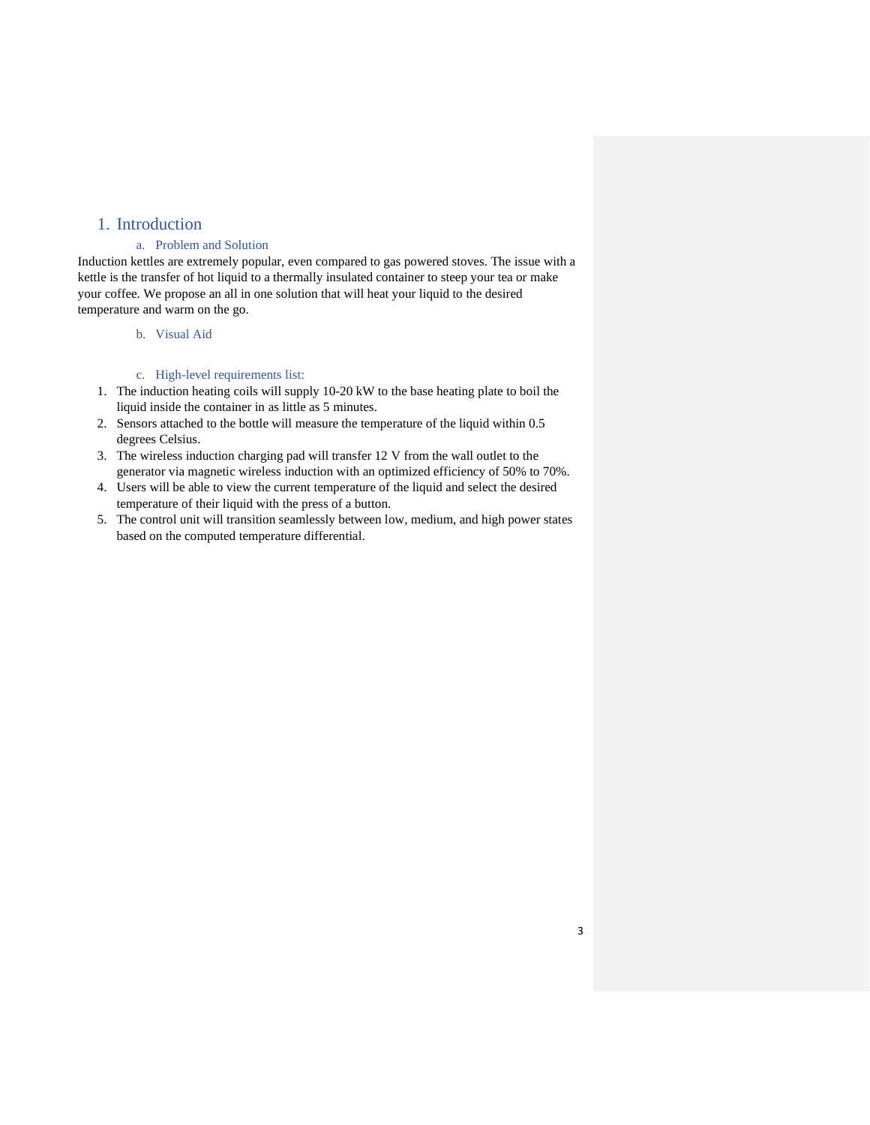## <span id="page-2-0"></span>1. Introduction

## a. Problem and Solution

<span id="page-2-1"></span>Induction kettles are extremely popular, even compared to gas powered stoves. The issue with a kettle is the transfer of hot liquid to a thermally insulated container to steep your tea or make your coffee. We propose an all in one solution that will heat your liquid to the desired temperature and warm on the go.

b. Visual Aid

### c. High-level requirements list:

- <span id="page-2-3"></span><span id="page-2-2"></span>1. The induction heating coils will supply 10-20 kW to the base heating plate to boil the liquid inside the container in as little as 5 minutes.
- 2. Sensors attached to the bottle will measure the temperature of the liquid within 0.5 degrees Celsius.
- 3. The wireless induction charging pad will transfer 12 V from the wall outlet to the generator via magnetic wireless induction with an optimized efficiency of 50% to 70%.
- 4. Users will be able to view the current temperature of the liquid and select the desired temperature of their liquid with the press of a button.
- 5. The control unit will transition seamlessly between low, medium, and high power states based on the computed temperature differential.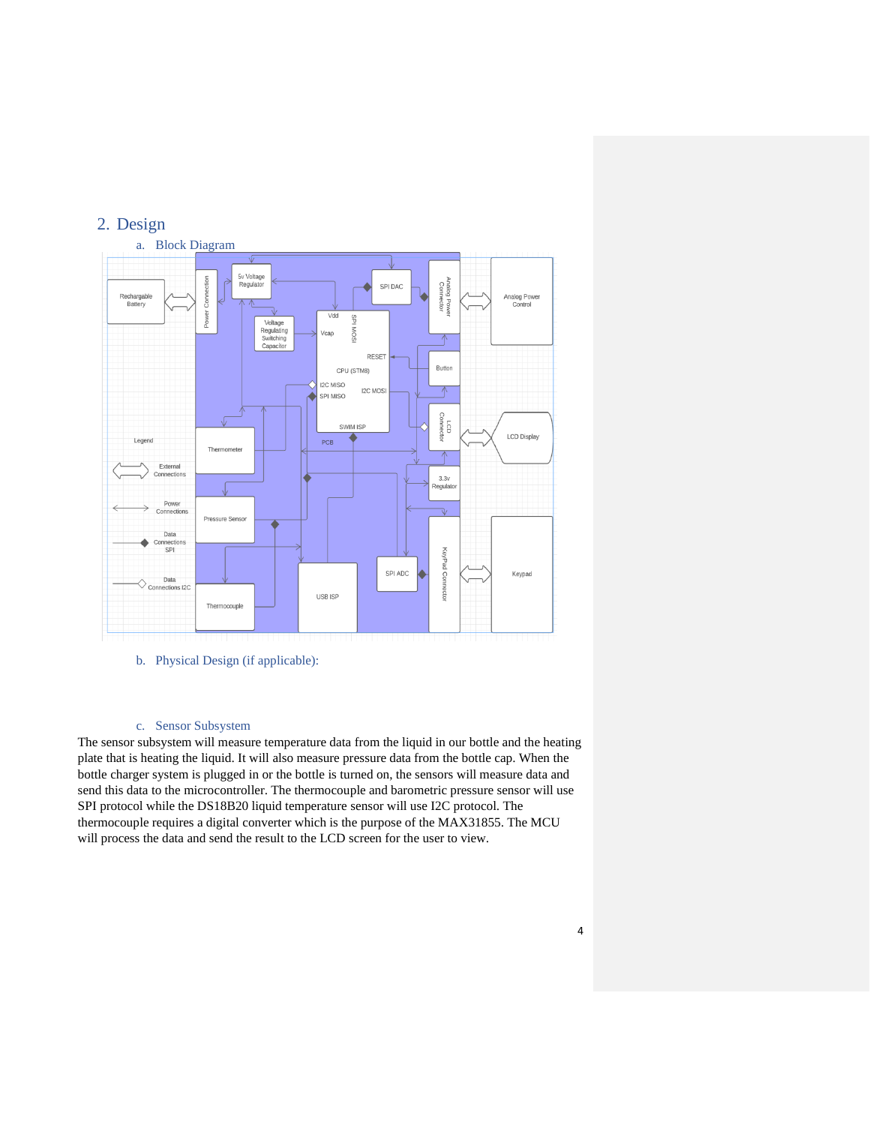## <span id="page-3-0"></span>2. Design

<span id="page-3-1"></span>

<span id="page-3-2"></span>b. Physical Design (if applicable):

## c. Sensor Subsystem

<span id="page-3-3"></span>The sensor subsystem will measure temperature data from the liquid in our bottle and the heating plate that is heating the liquid. It will also measure pressure data from the bottle cap. When the bottle charger system is plugged in or the bottle is turned on, the sensors will measure data and send this data to the microcontroller. The thermocouple and barometric pressure sensor will use SPI protocol while the DS18B20 liquid temperature sensor will use I2C protocol. The thermocouple requires a digital converter which is the purpose of the MAX31855. The MCU will process the data and send the result to the LCD screen for the user to view.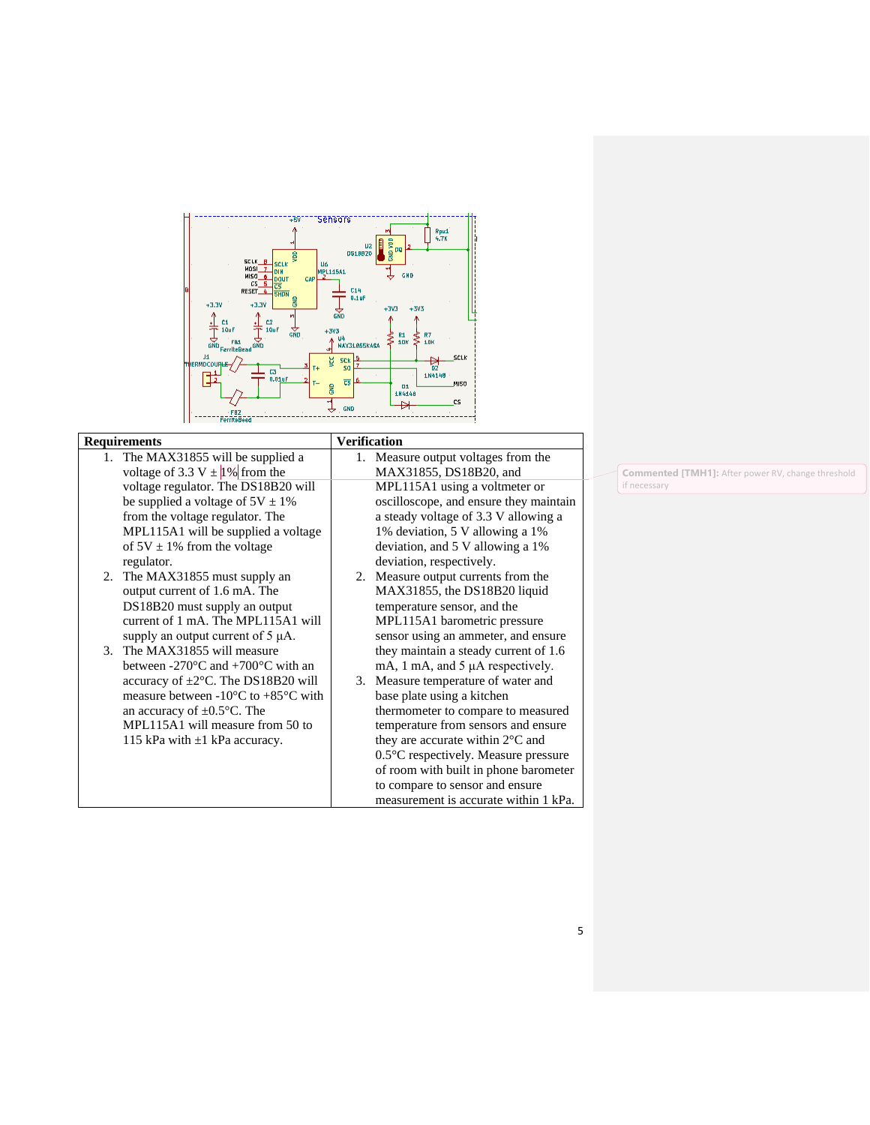

#### **Requirements Verification**

- 1. The MAX31855 will be supplied a voltage of 3.3 V  $\pm$  1% from the voltage regulator. The DS18B20 will be supplied a voltage of  $5V \pm 1\%$ from the voltage regulator. The MPL115A1 will be supplied a voltage of  $5V \pm 1\%$  from the voltage regulator.
- 2. The MAX31855 must supply an output current of 1.6 mA. The DS18B20 must supply an output current of 1 mA. The MPL115A1 will supply an output current of 5 μA.
- 3. The MAX31855 will measure between -270°C and +700°C with an accuracy of ±2°C. The DS18B20 will measure between -10°C to +85°C with an accuracy of ±0.5°C. The MPL115A1 will measure from 50 to 115 kPa with ±1 kPa accuracy.
- 1. Measure output voltages from the MAX31855, DS18B20, and MPL115A1 using a voltmeter or oscilloscope, and ensure they maintain a steady voltage of 3.3 V allowing a 1% deviation, 5 V allowing a 1% deviation, and 5 V allowing a 1% deviation, respectively.
- 2. Measure output currents from the MAX31855, the DS18B20 liquid temperature sensor, and the MPL115A1 barometric pressure sensor using an ammeter, and ensure they maintain a steady current of 1.6 mA, 1 mA, and 5 μA respectively.
- 3. Measure temperature of water and base plate using a kitchen thermometer to compare to measured temperature from sensors and ensure they are accurate within 2°C and 0.5°C respectively. Measure pressure of room with built in phone barometer to compare to sensor and ensure measurement is accurate within 1 kPa.

**Commented [TMH1]:** After power RV, change threshold if necessary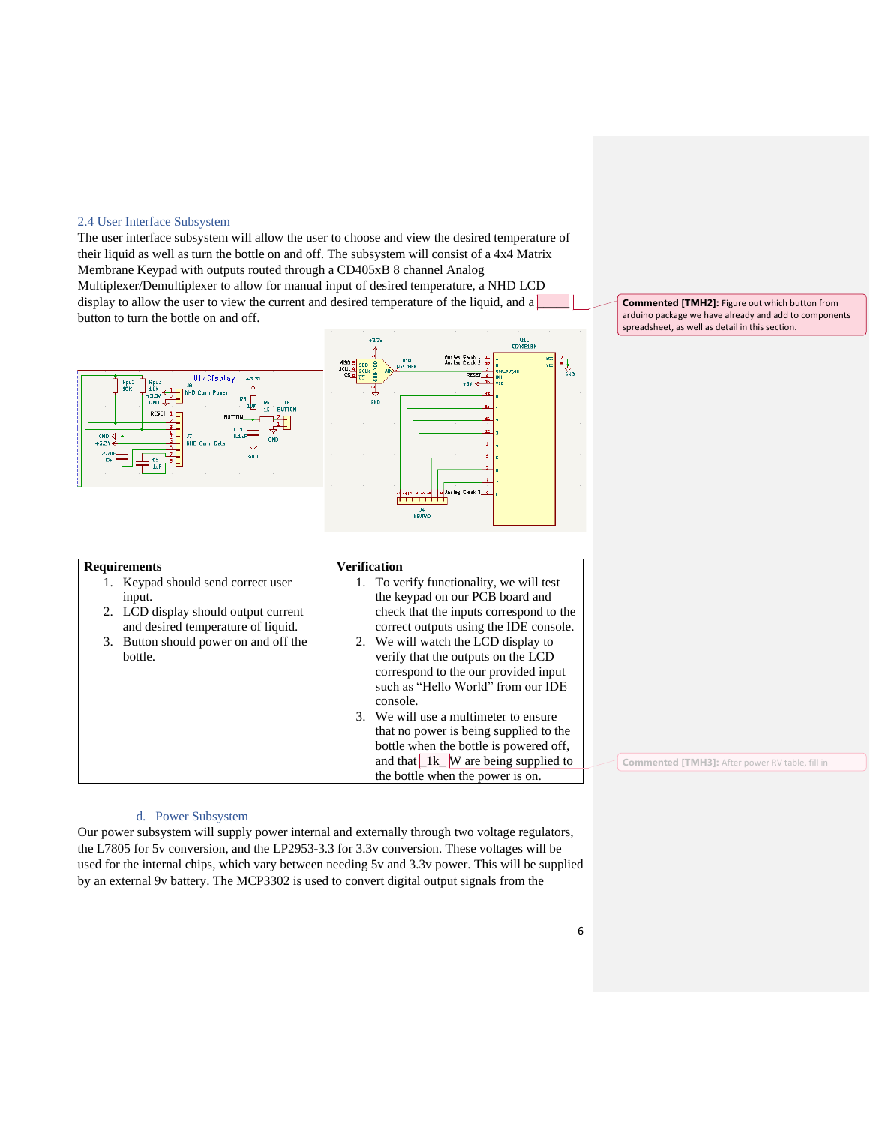#### <span id="page-5-0"></span>2.4 User Interface Subsystem

The user interface subsystem will allow the user to choose and view the desired temperature of their liquid as well as turn the bottle on and off. The subsystem will consist of a 4x4 Matrix Membrane Keypad with outputs routed through a CD405xB 8 channel Analog Multiplexer/Demultiplexer to allow for manual input of desired temperature, a NHD LCD display to allow the user to view the current and desired temperature of the liquid, and a  $\Box$ button to turn the bottle on and off.



**Commented [TMH2]:** Figure out which button from arduino package we have already and add to components spreadsheet, as well as detail in this section.

**Commented [TMH3]:** After power RV table, fill in

| <b>Requirements</b>                   | <b>Verification</b>                                   |
|---------------------------------------|-------------------------------------------------------|
| 1. Keypad should send correct user    | 1. To verify functionality, we will test              |
| input.                                | the keypad on our PCB board and                       |
| 2. LCD display should output current  | check that the inputs correspond to the               |
| and desired temperature of liquid.    | correct outputs using the IDE console.                |
| 3. Button should power on and off the | 2. We will watch the LCD display to                   |
| bottle.                               | verify that the outputs on the LCD                    |
|                                       | correspond to the our provided input                  |
|                                       | such as "Hello World" from our IDE                    |
|                                       | console.                                              |
|                                       | 3. We will use a multimeter to ensure                 |
|                                       | that no power is being supplied to the                |
|                                       | bottle when the bottle is powered off,                |
|                                       | and that $\lfloor 1k \rfloor$ W are being supplied to |
|                                       | the bottle when the power is on.                      |
|                                       |                                                       |

### d. Power Subsystem

<span id="page-5-1"></span>Our power subsystem will supply power internal and externally through two voltage regulators, the L7805 for 5v conversion, and the LP2953-3.3 for 3.3v conversion. These voltages will be used for the internal chips, which vary between needing 5v and 3.3v power. This will be supplied by an external 9v battery. The MCP3302 is used to convert digital output signals from the

6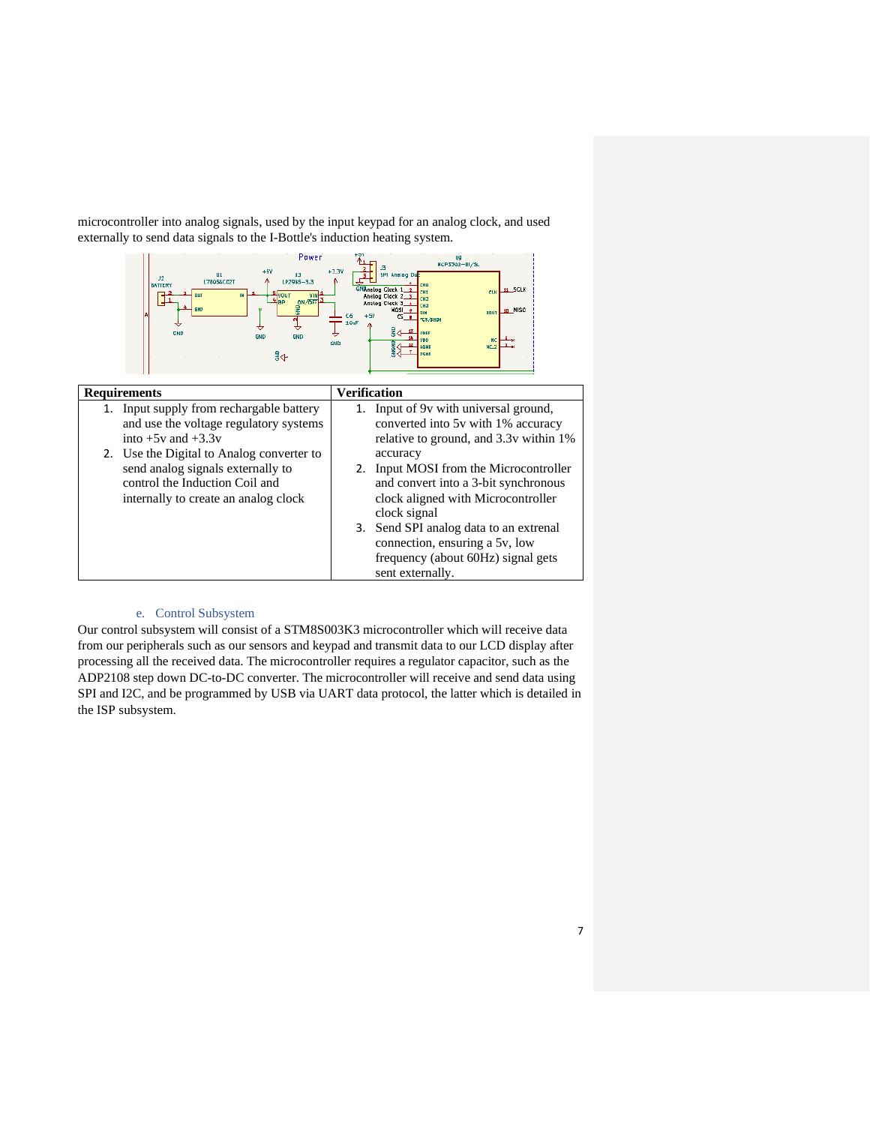microcontroller into analog signals, used by the input keypad for an analog clock, and used externally to send data signals to the I-Bottle's induction heating system.



| <b>Requirements</b>                                                                                                                                                                                                                                                      | <b>Verification</b>                                                                                                                                                                                                                                                                                                                                                                         |
|--------------------------------------------------------------------------------------------------------------------------------------------------------------------------------------------------------------------------------------------------------------------------|---------------------------------------------------------------------------------------------------------------------------------------------------------------------------------------------------------------------------------------------------------------------------------------------------------------------------------------------------------------------------------------------|
| 1. Input supply from rechargable battery<br>and use the voltage regulatory systems<br>into $+5v$ and $+3.3v$<br>2. Use the Digital to Analog converter to<br>send analog signals externally to<br>control the Induction Coil and<br>internally to create an analog clock | 1. Input of 9y with universal ground,<br>converted into 5v with 1% accuracy<br>relative to ground, and 3.3v within 1%<br>accuracy<br>2. Input MOSI from the Microcontroller<br>and convert into a 3-bit synchronous<br>clock aligned with Microcontroller<br>clock signal<br>3. Send SPI analog data to an extrenal<br>connection, ensuring a 5v, low<br>frequency (about 60Hz) signal gets |
|                                                                                                                                                                                                                                                                          | sent externally.                                                                                                                                                                                                                                                                                                                                                                            |

#### e. Control Subsystem

<span id="page-6-0"></span>Our control subsystem will consist of a STM8S003K3 microcontroller which will receive data from our peripherals such as our sensors and keypad and transmit data to our LCD display after processing all the received data. The microcontroller requires a regulator capacitor, such as the ADP2108 step down DC-to-DC converter. The microcontroller will receive and send data using SPI and I2C, and be programmed by USB via UART data protocol, the latter which is detailed in the ISP subsystem.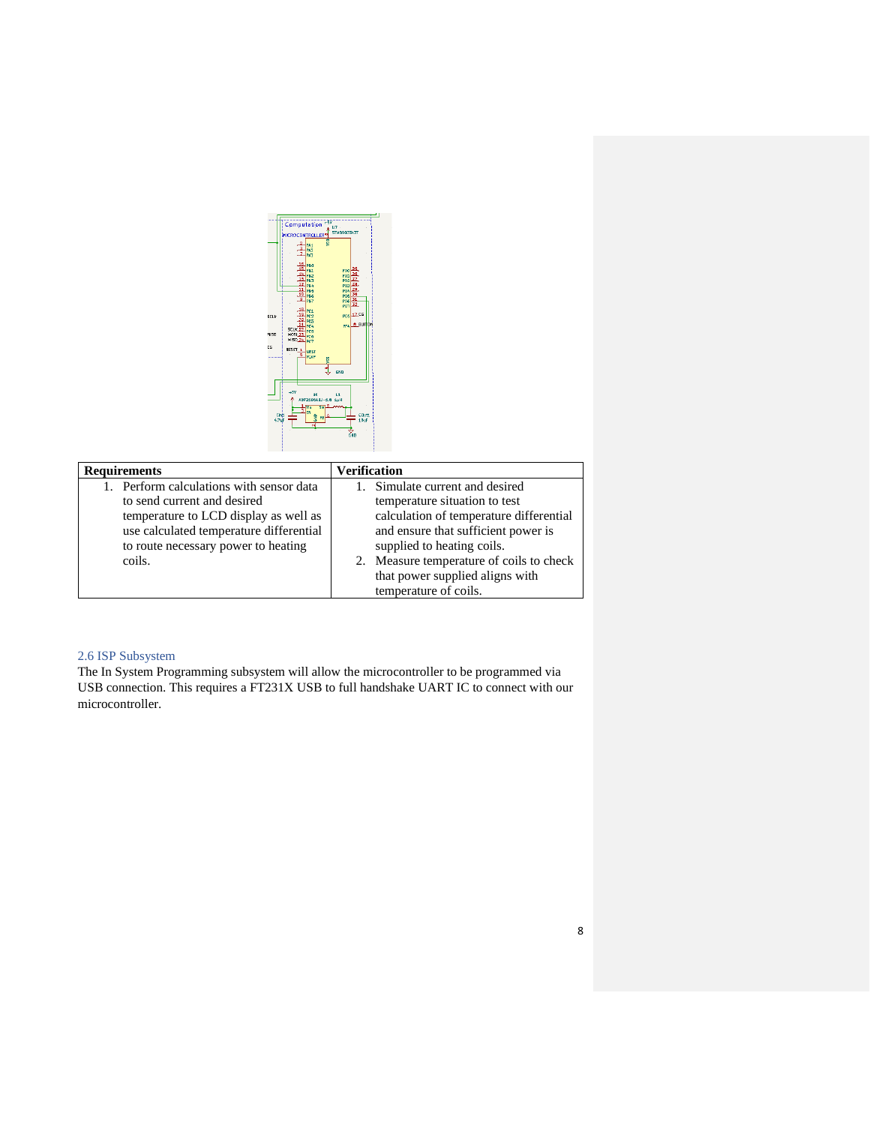|       | Computation                         |                                | 787                    |                 |  |
|-------|-------------------------------------|--------------------------------|------------------------|-----------------|--|
|       |                                     |                                | U7 -<br>STMBS003A3T    |                 |  |
|       | <b>MICROCONTROLLER<sup>10</sup></b> |                                | ŝ                      |                 |  |
|       |                                     | <b>PA1</b><br>PA2              |                        |                 |  |
|       |                                     | PA3                            |                        |                 |  |
|       | 16                                  | lpag                           |                        |                 |  |
|       | œ                                   | <b>PB1</b>                     | PDO                    |                 |  |
|       | 13                                  | <b>PB2</b><br><b>PA3</b>       | PM <sub>1</sub><br>Pb2 |                 |  |
|       |                                     | PBL                            | PD3                    |                 |  |
|       | 11<br>10                            | <b>PB5</b><br><b>PBG</b>       | PD4<br>PDS             |                 |  |
|       |                                     | <b>PB7</b>                     | P <sub>D6</sub>        |                 |  |
|       |                                     | 18 PC1                         | PD7                    |                 |  |
| scur  | 19                                  | PC <sub>2</sub>                | <b>PE6</b>             | 17.09           |  |
|       | 20                                  | PCS<br>PC4                     | PF4                    | <b>8 BUTTON</b> |  |
| MISO  | <b>SCLK 22</b><br><b>NOSI 23</b>    | PCS                            |                        |                 |  |
|       | NISO 24                             | PCO<br>PC7                     |                        |                 |  |
| cs    | RESET 1                             | <b>NRST</b>                    |                        |                 |  |
|       |                                     | VCAP                           |                        |                 |  |
|       |                                     |                                | š                      |                 |  |
|       |                                     |                                | GND                    |                 |  |
|       |                                     |                                |                        |                 |  |
|       |                                     |                                |                        |                 |  |
|       | 45V                                 | u.<br>ADP210BAUJ-1.6 1uH       | ш                      |                 |  |
|       |                                     | $\overline{\mathbf{s}}$<br>Vin |                        |                 |  |
| CINI  |                                     | EN                             |                        | COuts           |  |
| 4.74F |                                     | â<br>FR                        |                        | 1.0uF           |  |
|       |                                     | ы                              |                        |                 |  |
|       |                                     |                                |                        | cino            |  |
|       |                                     |                                |                        |                 |  |
|       |                                     |                                |                        |                 |  |

| <b>Requirements</b>                      | <b>Verification</b>                      |
|------------------------------------------|------------------------------------------|
| 1. Perform calculations with sensor data | 1. Simulate current and desired          |
| to send current and desired              | temperature situation to test            |
| temperature to LCD display as well as    | calculation of temperature differential  |
| use calculated temperature differential  | and ensure that sufficient power is      |
| to route necessary power to heating      | supplied to heating coils.               |
| coils.                                   | 2. Measure temperature of coils to check |
|                                          | that power supplied aligns with          |
|                                          | temperature of coils.                    |

## 2.6 ISP Subsystem

The In System Programming subsystem will allow the microcontroller to be programmed via USB connection. This requires a FT231X USB to full handshake UART IC to connect with our microcontroller.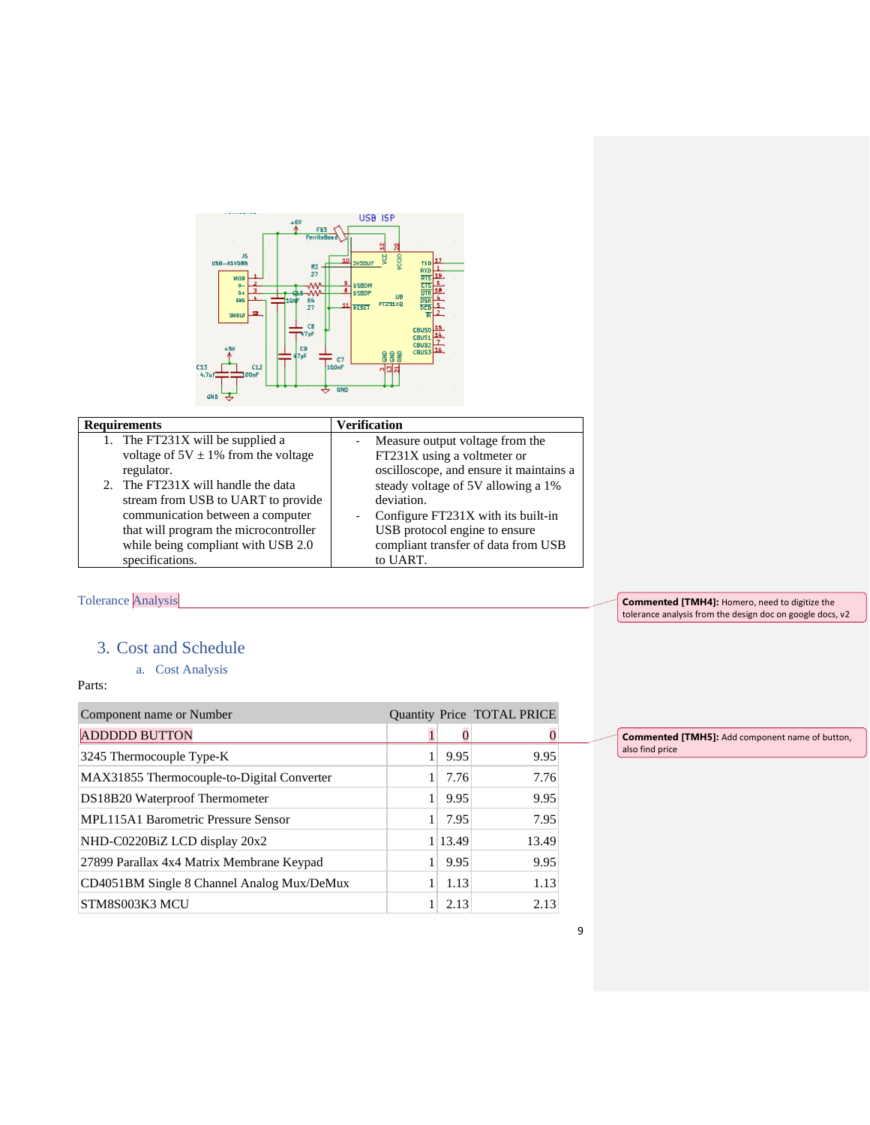

## **Requirements Verification**

| 1. The FT231X will be supplied a         |  |
|------------------------------------------|--|
| voltage of $5V \pm 1\%$ from the voltage |  |
| regulator.                               |  |
| 2. The FT231X will handle the data       |  |
| stream from USB to UART to provide       |  |
| communication between a computer         |  |

| communication between a computer      |
|---------------------------------------|
| that will program the microcontroller |
| while being compliant with USB 2.0    |
| specifications.                       |

|    | steady voltage of 5V allowing a 1%  |
|----|-------------------------------------|
|    | deviation.                          |
| ÷, | Configure FT231X with its built-in  |
|    | USB protocol engine to ensure       |
|    | compliant transfer of data from USB |
|    | to UART.                            |
|    |                                     |

Measure output voltage from the FT231X using a voltmeter or oscilloscope, and ensure it maintains a

# <span id="page-8-0"></span>Tolerance Analysis

<span id="page-8-1"></span>3. Cost and Schedule

## a. Cost Analysis

## <span id="page-8-2"></span>Parts:

| Component name or Number                   |         | Quantity Price TOTAL PRICE |
|--------------------------------------------|---------|----------------------------|
| <b>ADDDDD BUTTON</b>                       |         |                            |
| 3245 Thermocouple Type-K                   | 9.95    | 9.95                       |
| MAX31855 Thermocouple-to-Digital Converter | 7.76    | 7.76                       |
| DS18B20 Waterproof Thermometer             | 9.95    | 9.95                       |
| <b>MPL115A1 Barometric Pressure Sensor</b> | 7.95    | 7.95                       |
| NHD-C0220BiZ LCD display 20x2              | 1 13.49 | 13.49                      |
| 27899 Parallax 4x4 Matrix Membrane Keypad  | 9.95    | 9.95                       |
| CD4051BM Single 8 Channel Analog Mux/DeMux | 1.13    | 1.13                       |
| STM8S003K3 MCU                             | 2.13    | 2.13                       |

**Commented [TMH4]:** Homero, need to digitize the tolerance analysis from the design doc on google docs, v2

**Commented [TMH5]:** Add component name of button,

also find price

### 9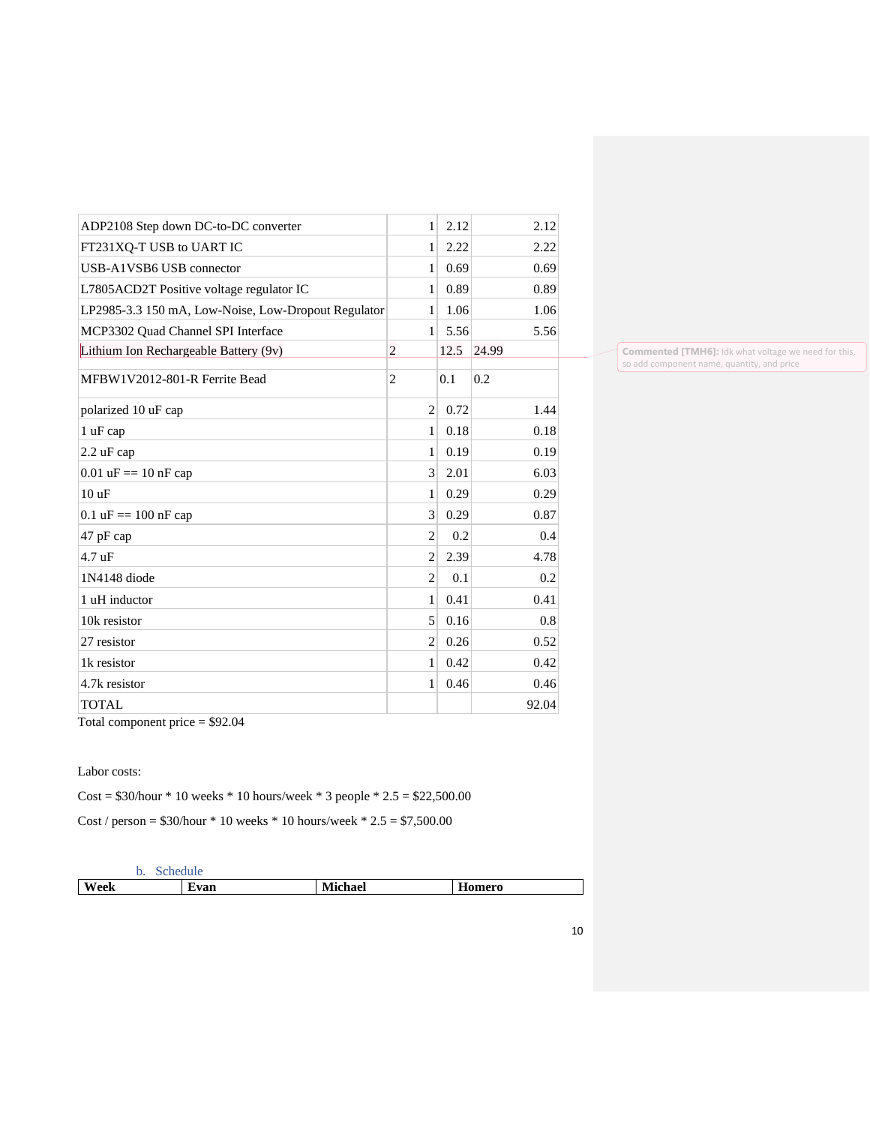| ADP2108 Step down DC-to-DC converter                | 1              | 2.12 | 2.12  |
|-----------------------------------------------------|----------------|------|-------|
| FT231XO-T USB to UART IC                            | 1              | 2.22 | 2.22  |
| USB-A1VSB6 USB connector                            | 1              | 0.69 | 0.69  |
| L7805ACD2T Positive voltage regulator IC            | 1              | 0.89 | 0.89  |
| LP2985-3.3 150 mA, Low-Noise, Low-Dropout Regulator | 1              | 1.06 | 1.06  |
| MCP3302 Quad Channel SPI Interface                  | 1              | 5.56 | 5.56  |
| Lithium Ion Rechargeable Battery (9v)               | $\overline{c}$ | 12.5 | 24.99 |
| MFBW1V2012-801-R Ferrite Bead                       | $\overline{2}$ | 0.1  | 0.2   |
| polarized 10 uF cap                                 | $\overline{2}$ | 0.72 | 1.44  |
| 1 uF cap                                            | $\mathbf{1}$   | 0.18 | 0.18  |
| 2.2 uF cap                                          | $\mathbf{1}$   | 0.19 | 0.19  |
| $0.01 \text{ uF} = 10 \text{ nF}$ cap               | 3              | 2.01 | 6.03  |
| 10uF                                                | $\mathbf{1}$   | 0.29 | 0.29  |
| $0.1 \text{ uF} = 100 \text{ nF}$ cap               | 3              | 0.29 | 0.87  |
| 47 pF cap                                           | $\overline{2}$ | 0.2  | 0.4   |
| $4.7 \text{ uF}$                                    | $\overline{2}$ | 2.39 | 4.78  |
| 1N4148 diode                                        | $\overline{2}$ | 0.1  | 0.2   |
| 1 uH inductor                                       | 1              | 0.41 | 0.41  |
| 10k resistor                                        | 5              | 0.16 | 0.8   |
| 27 resistor                                         | $\overline{c}$ | 0.26 | 0.52  |
| 1k resistor                                         | 1              | 0.42 | 0.42  |
| 4.7k resistor                                       | 1              | 0.46 | 0.46  |
| <b>TOTAL</b>                                        |                |      | 92.04 |
| Total component price $= $92.04$                    |                |      |       |

**Commented [TMH6]:** Idk what voltage we need for this, so add component name, quantity, and price

Labor costs:

Cost =  $$30/hour * 10 weeks * 10 hours/week * 3 people * 2.5 = $22,500.00$ 

Cost / person =  $$30/hour * 10 weeks * 10 hours/week * 2.5 = $7,500.00$ 

<span id="page-9-0"></span>

|      | schedule |                |        |  |
|------|----------|----------------|--------|--|
| Week | Evan     | <b>Michael</b> | Homero |  |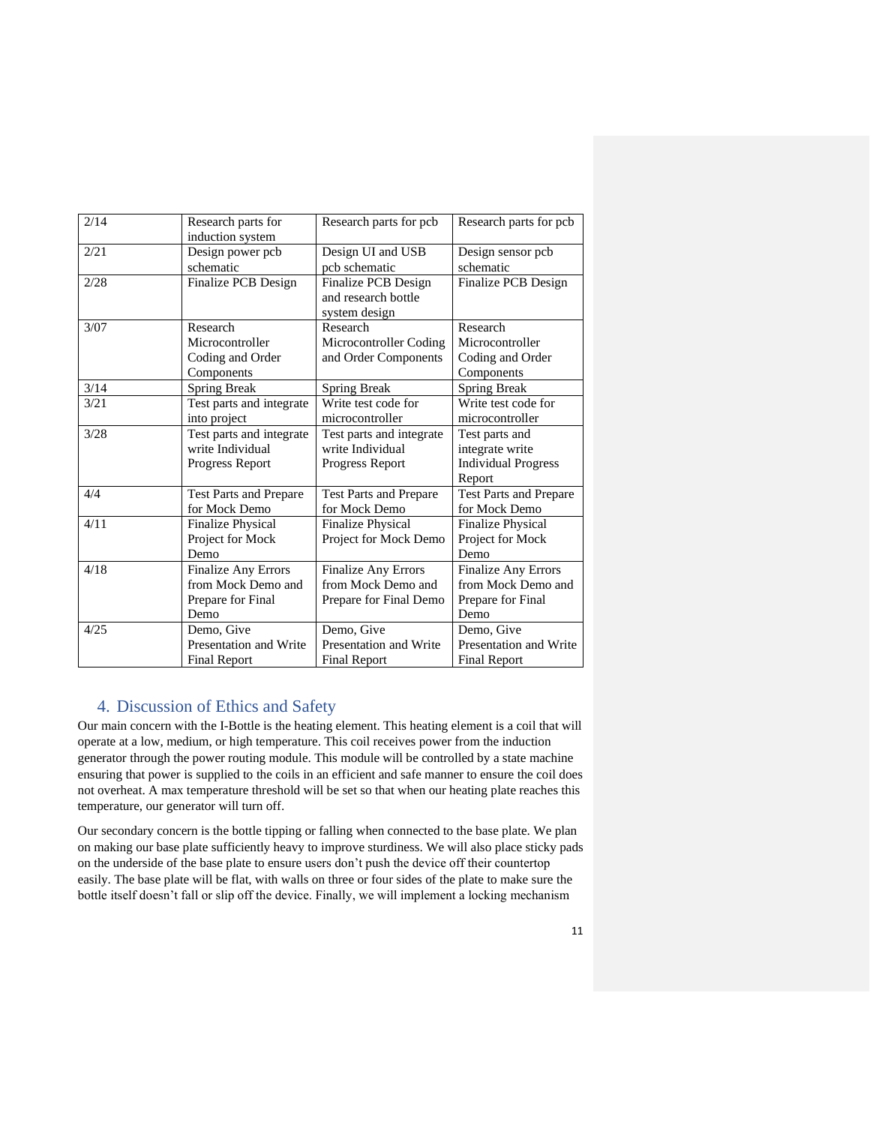| 2/14 | Research parts for            | Research parts for pcb.       | Research parts for pcb.       |
|------|-------------------------------|-------------------------------|-------------------------------|
|      | induction system              |                               |                               |
| 2/21 | Design power pcb              | Design UI and USB             | Design sensor pcb             |
|      | schematic                     | pcb schematic                 | schematic                     |
| 2/28 | Finalize PCB Design           | Finalize PCB Design           | Finalize PCB Design           |
|      |                               | and research bottle           |                               |
|      |                               | system design                 |                               |
| 3/07 | Research                      | Research                      | Research                      |
|      | Microcontroller               | Microcontroller Coding        | Microcontroller               |
|      | Coding and Order              | and Order Components          | Coding and Order              |
|      | Components                    |                               | Components                    |
| 3/14 | <b>Spring Break</b>           | <b>Spring Break</b>           | <b>Spring Break</b>           |
| 3/21 | Test parts and integrate      | Write test code for           | Write test code for           |
|      | into project                  | microcontroller               | microcontroller               |
| 3/28 | Test parts and integrate      | Test parts and integrate      | Test parts and                |
|      | write Individual              | write Individual              | integrate write               |
|      | Progress Report               | Progress Report               | <b>Individual Progress</b>    |
|      |                               |                               | Report                        |
| 4/4  | <b>Test Parts and Prepare</b> | <b>Test Parts and Prepare</b> | <b>Test Parts and Prepare</b> |
|      | for Mock Demo                 | for Mock Demo                 | for Mock Demo                 |
| 4/11 | <b>Finalize Physical</b>      | <b>Finalize Physical</b>      | <b>Finalize Physical</b>      |
|      | Project for Mock              | Project for Mock Demo         | Project for Mock              |
|      | Demo                          |                               | Demo                          |
| 4/18 | <b>Finalize Any Errors</b>    | <b>Finalize Any Errors</b>    | <b>Finalize Any Errors</b>    |
|      | from Mock Demo and            | from Mock Demo and            | from Mock Demo and            |
|      | Prepare for Final             | Prepare for Final Demo        | Prepare for Final             |
|      | Demo                          |                               | Demo                          |
| 4/25 | Demo, Give                    | Demo, Give                    | Demo, Give                    |
|      | Presentation and Write        | Presentation and Write        | Presentation and Write        |
|      | <b>Final Report</b>           | <b>Final Report</b>           | <b>Final Report</b>           |
|      |                               |                               |                               |

## <span id="page-10-0"></span>4. Discussion of Ethics and Safety

Our main concern with the I-Bottle is the heating element. This heating element is a coil that will operate at a low, medium, or high temperature. This coil receives power from the induction generator through the power routing module. This module will be controlled by a state machine ensuring that power is supplied to the coils in an efficient and safe manner to ensure the coil does not overheat. A max temperature threshold will be set so that when our heating plate reaches this temperature, our generator will turn off.

Our secondary concern is the bottle tipping or falling when connected to the base plate. We plan on making our base plate sufficiently heavy to improve sturdiness. We will also place sticky pads on the underside of the base plate to ensure users don't push the device off their countertop easily. The base plate will be flat, with walls on three or four sides of the plate to make sure the bottle itself doesn't fall or slip off the device. Finally, we will implement a locking mechanism